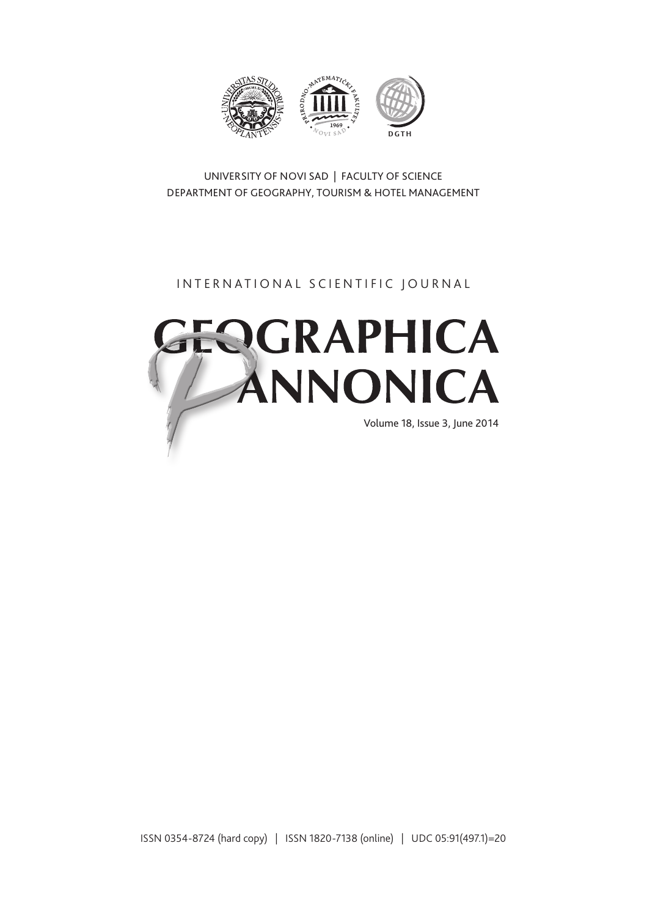

UNIVERSITY OF NOVI SAD | FACULTY OF SCIENCE DEPARTMENT OF GEOGRAPHY, TOURISM & HOTEL MANAGEMENT

# INTERNATIONAL SCIENTIFIC JOURNAL



ISSN 0354-8724 (hard copy) | ISSN 1820-7138 (online) | UDC 05:91(497.1)=20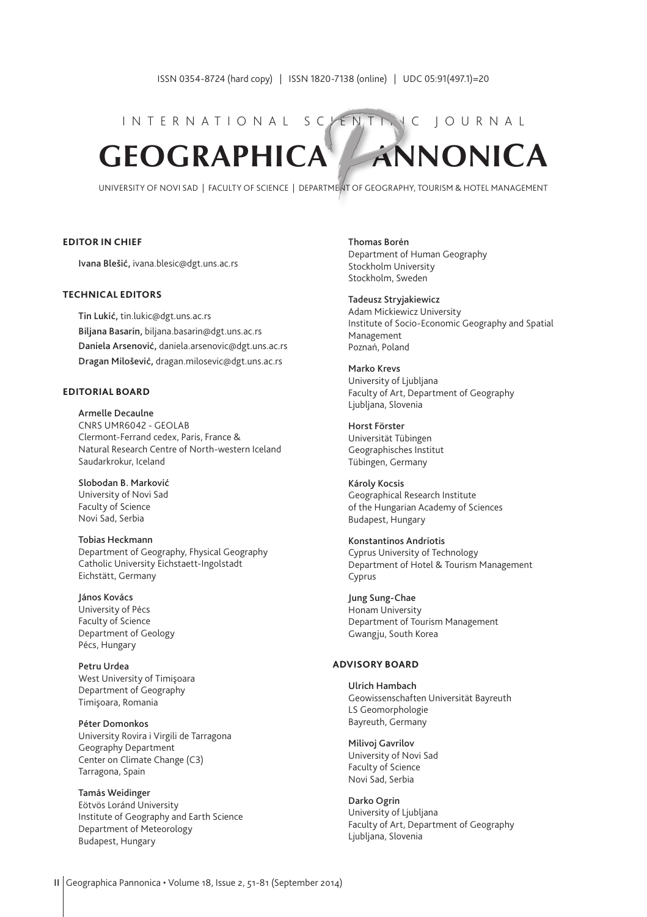# INTERNATIONAL SCYENTIFIC JOURNAL **GEOGRAPHICA ANNONICA**

UNIVERSITY OF NOVI SAD | FACULTY OF SCIENCE | DEPARTMENT OF GEOGRAPHY, TOURISM & HOTEL MANAGEMENT

#### **EDITOR IN CHIEF**

Ivana Blešić, ivana.blesic@dgt.uns.ac.rs

#### **TECHNICAL EDITORS**

Tin Lukić, tin.lukic@dgt.uns.ac.rs Biljana Basarin, biljana.basarin@dgt.uns.ac.rs Daniela Arsenović, daniela.arsenovic@dgt.uns.ac.rs Dragan Milošević, dragan.milosevic@dgt.uns.ac.rs

#### **EDITORIAL BOARD**

Armelle Decaulne CNRS UMR6042 - GEOLAB Clermont-Ferrand cedex, Paris, France & Natural Research Centre of North-western Iceland Saudarkrokur, Iceland

Slobodan B. Marković University of Novi Sad Faculty of Science Novi Sad, Serbia

Tobias Heckmann Department of Geography, Fhysical Geography Catholic University Eichstaett-Ingolstadt Eichstätt, Germany

János Kovács University of Pécs Faculty of Science Department of Geology Pécs, Hungary

Petru Urdea West University of Timişoara Department of Geography Timişoara, Romania

Péter Domonkos University Rovira i Virgili de Tarragona Geography Department Center on Climate Change (C3) Tarragona, Spain

Tamás Weidinger Eötvös Loránd University Institute of Geography and Earth Science Department of Meteorology Budapest, Hungary

Thomas Borén Department of Human Geography Stockholm University Stockholm, Sweden

#### Tadeusz Stryjakiewicz

Adam Mickiewicz University Institute of Socio-Economic Geography and Spatial Management Poznań, Poland

Marko Krevs University of Ljubljana Faculty of Art, Department of Geography Ljubljana, Slovenia

Horst Förster Universität Tübingen Geographisches Institut Tübingen, Germany

Károly Kocsis Geographical Research Institute of the Hungarian Academy of Sciences Budapest, Hungary

Konstantinos Andriotis Cyprus University of Technology Department of Hotel & Tourism Management Cyprus

Jung Sung-Chae Honam University Department of Tourism Management Gwangju, South Korea

#### **ADVISORY BOARD**

Ulrich Hambach Geowissenschaften Universität Bayreuth LS Geomorphologie Bayreuth, Germany

Milivoj Gavrilov University of Novi Sad Faculty of Science Novi Sad, Serbia

Darko Ogrin University of Ljubljana Faculty of Art, Department of Geography Ljubljana, Slovenia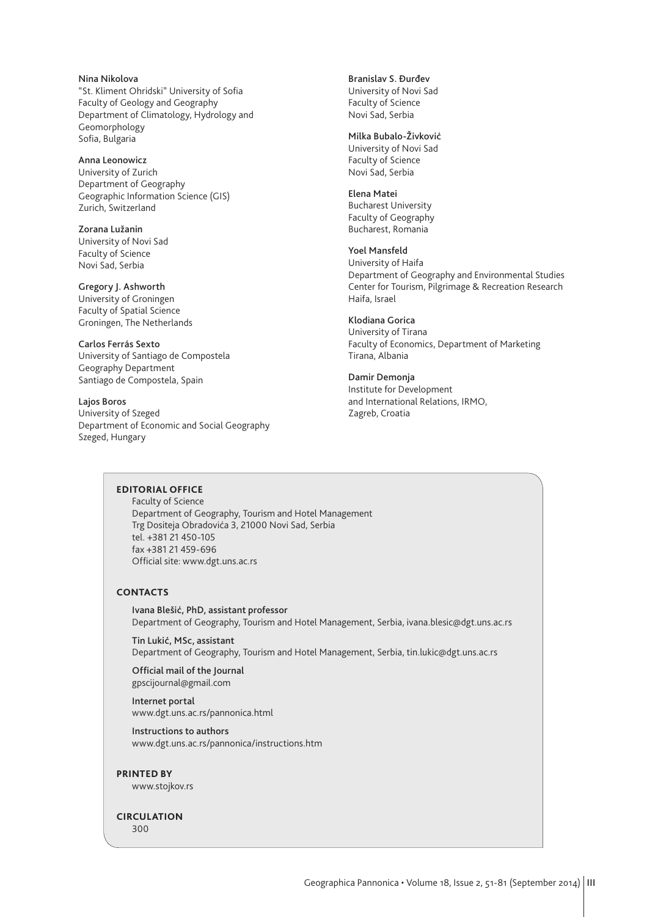Nina Nikolova "St. Kliment Ohridski" University of Sofia Faculty of Geology and Geography Department of Climatology, Hydrology and Geomorphology Sofia, Bulgaria

Anna Leonowicz University of Zurich Department of Geography Geographic Information Science (GIS) Zurich, Switzerland

Zorana Lužanin University of Novi Sad Faculty of Science Novi Sad, Serbia

Gregory J. Ashworth University of Groningen Faculty of Spatial Science Groningen, The Netherlands

Carlos Ferrás Sexto University of Santiago de Compostela Geography Department Santiago de Compostela, Spain

Lajos Boros University of Szeged Department of Economic and Social Geography Szeged, Hungary

Branislav S. Đurđev

University of Novi Sad Faculty of Science Novi Sad, Serbia

#### Milka Bubalo-Živković

University of Novi Sad Faculty of Science Novi Sad, Serbia

#### Elena Matei

Bucharest University Faculty of Geography Bucharest, Romania

#### Yoel Mansfeld

University of Haifa Department of Geography and Environmental Studies Center for Tourism, Pilgrimage & Recreation Research Haifa, Israel

#### Klodiana Gorica

University of Tirana Faculty of Economics, Department of Marketing Tirana, Albania

#### Damir Demonja

Institute for Development and International Relations, IRMO, Zagreb, Croatia

#### **EDITORIAL OFFICE**

Faculty of Science Department of Geography, Tourism and Hotel Management Trg Dositeja Obradovića 3, 21000 Novi Sad, Serbia tel. +381 21 450-105 fax +381 21 459-696 Official site: www.dgt.uns.ac.rs

#### **CONTACTS**

Ivana Blešić, PhD, assistant professor Department of Geography, Tourism and Hotel Management, Serbia, ivana.blesic@dgt.uns.ac.rs

Tin Lukić, MSc, assistant Department of Geography, Tourism and Hotel Management, Serbia, tin.lukic@dgt.uns.ac.rs

Official mail of the Journal gpscijournal@gmail.com

Internet portal www.dgt.uns.ac.rs/pannonica.html

Instructions to authors www.dgt.uns.ac.rs/pannonica/instructions.htm

#### **PRINTED BY**

www.stojkov.rs

## **CIRCULATION**

300